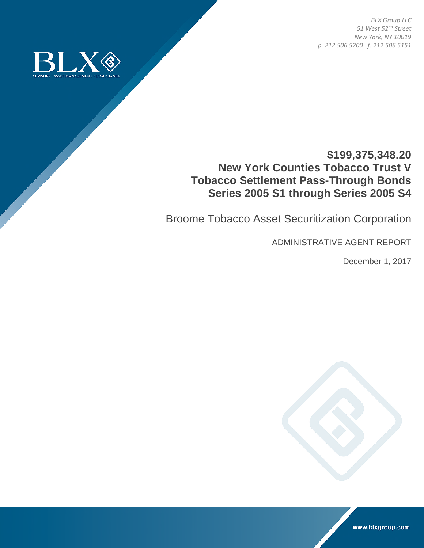*BLX Group LLC 51 West 52nd Street New York, NY 10019 p. 212 506 5200 f. 212 506 5151* 



# **\$199,375,348.20 New York Counties Tobacco Trust V Tobacco Settlement Pass-Through Bonds Series 2005 S1 through Series 2005 S4**

Broome Tobacco Asset Securitization Corporation

ADMINISTRATIVE AGENT REPORT

December 1, 2017



www.blxgroup.com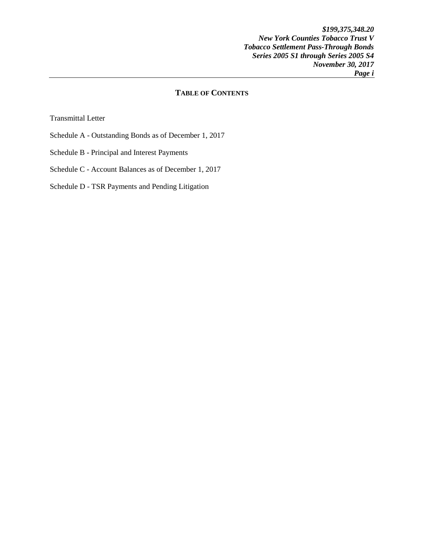*\$199,375,348.20 New York Counties Tobacco Trust V Tobacco Settlement Pass-Through Bonds Series 2005 S1 through Series 2005 S4 November 30, 2017 Page i* 

## **TABLE OF CONTENTS**

Transmittal Letter

- Schedule A Outstanding Bonds as of December 1, 2017
- Schedule B Principal and Interest Payments

Schedule C - Account Balances as of December 1, 2017

Schedule D - TSR Payments and Pending Litigation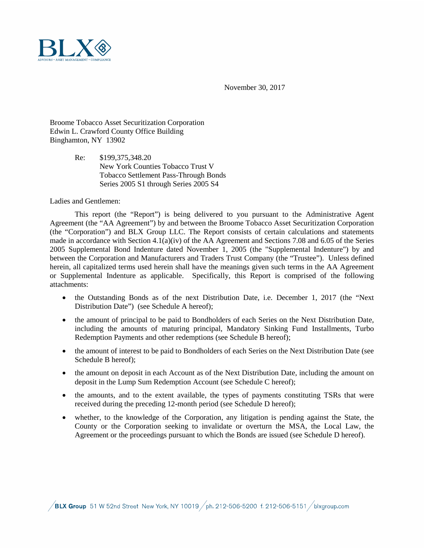November 30, 2017



Broome Tobacco Asset Securitization Corporation Edwin L. Crawford County Office Building Binghamton, NY 13902

> Re: \$199,375,348.20 New York Counties Tobacco Trust V Tobacco Settlement Pass-Through Bonds Series 2005 S1 through Series 2005 S4

Ladies and Gentlemen:

This report (the "Report") is being delivered to you pursuant to the Administrative Agent Agreement (the "AA Agreement") by and between the Broome Tobacco Asset Securitization Corporation (the "Corporation") and BLX Group LLC. The Report consists of certain calculations and statements made in accordance with Section 4.1(a)(iv) of the AA Agreement and Sections 7.08 and 6.05 of the Series 2005 Supplemental Bond Indenture dated November 1, 2005 (the "Supplemental Indenture") by and between the Corporation and Manufacturers and Traders Trust Company (the "Trustee"). Unless defined herein, all capitalized terms used herein shall have the meanings given such terms in the AA Agreement or Supplemental Indenture as applicable. Specifically, this Report is comprised of the following attachments:

- the Outstanding Bonds as of the next Distribution Date, i.e. December 1, 2017 (the "Next Distribution Date") (see Schedule A hereof);
- the amount of principal to be paid to Bondholders of each Series on the Next Distribution Date, including the amounts of maturing principal, Mandatory Sinking Fund Installments, Turbo Redemption Payments and other redemptions (see Schedule B hereof);
- the amount of interest to be paid to Bondholders of each Series on the Next Distribution Date (see Schedule B hereof);
- the amount on deposit in each Account as of the Next Distribution Date, including the amount on deposit in the Lump Sum Redemption Account (see Schedule C hereof);
- the amounts, and to the extent available, the types of payments constituting TSRs that were received during the preceding 12-month period (see Schedule D hereof);
- whether, to the knowledge of the Corporation, any litigation is pending against the State, the County or the Corporation seeking to invalidate or overturn the MSA, the Local Law, the Agreement or the proceedings pursuant to which the Bonds are issued (see Schedule D hereof).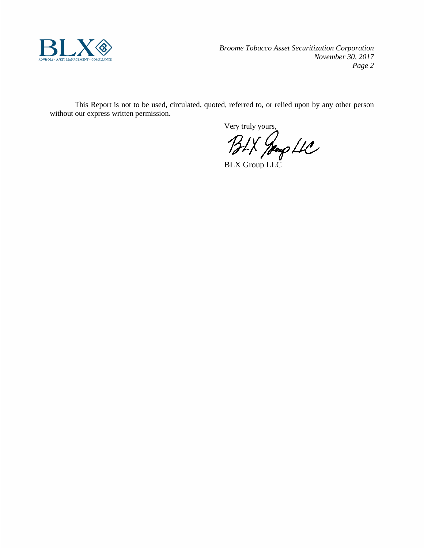

*Broome Tobacco Asset Securitization Corporation November 30, 2017 Page 2*

This Report is not to be used, circulated, quoted, referred to, or relied upon by any other person without our express written permission.

Very truly yours,

BLX Group LLC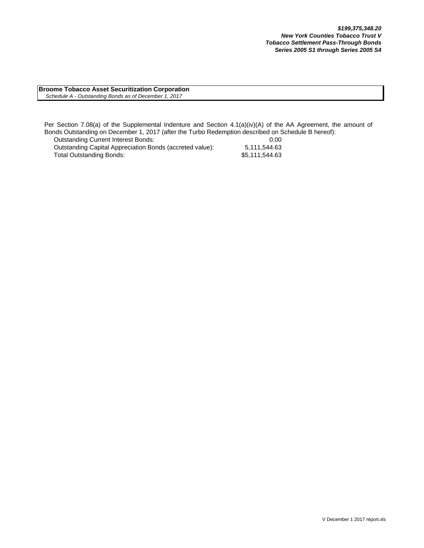**Broome Tobacco Asset Securitization Corporation**  *Schedule A - Outstanding Bonds as of December 1, 2017*

Per Section 7.08(a) of the Supplemental Indenture and Section 4.1(a)(iv)(A) of the AA Agreement, the amount of Bonds Outstanding on December 1, 2017 (after the Turbo Redemption described on Schedule B hereof):

| <b>Outstanding Current Interest Bonds:</b>               | 0.00           |
|----------------------------------------------------------|----------------|
| Outstanding Capital Appreciation Bonds (accreted value): | 5.111.544.63   |
| Total Outstanding Bonds:                                 | \$5,111,544.63 |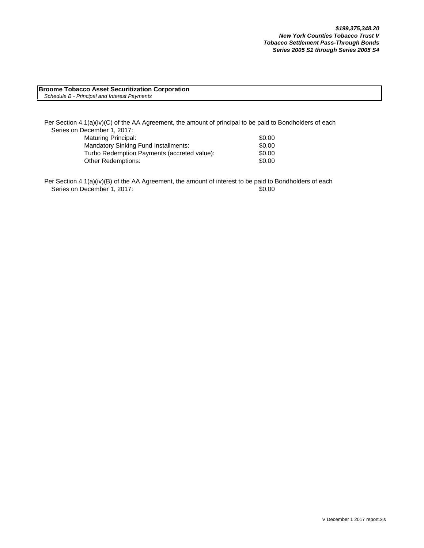#### **Broome Tobacco Asset Securitization Corporation** *Schedule B - Principal and Interest Payments*

Per Section 4.1(a)(iv)(C) of the AA Agreement, the amount of principal to be paid to Bondholders of each Series on December 1, 2017: Maturing Principal: \$0.00 Mandatory Sinking Fund Installments:  $$0.00$ Turbo Redemption Payments (accreted value): \$0.00

Per Section 4.1(a)(iv)(B) of the AA Agreement, the amount of interest to be paid to Bondholders of each

Other Redemptions: \$0.00

Series on December 1, 2017: \$0.00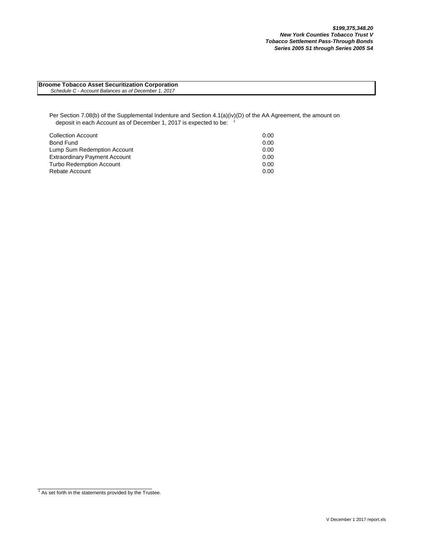**Broome Tobacco Asset Securitization Corporation**  *Schedule C - Account Balances as of December 1, 2017*

Per Section 7.08(b) of the Supplemental Indenture and Section 4.1(a)(iv)(D) of the AA Agreement, the amount on deposit in each Account as of December 1, 2017 is expected to be:

| <b>Collection Account</b>            | 0.00 |
|--------------------------------------|------|
| Bond Fund                            | 0.00 |
| Lump Sum Redemption Account          | 0.00 |
| <b>Extraordinary Payment Account</b> | 0.00 |
| <b>Turbo Redemption Account</b>      | 0.00 |
| Rebate Account                       | 0.00 |

 $1$  As set forth in the statements provided by the Trustee.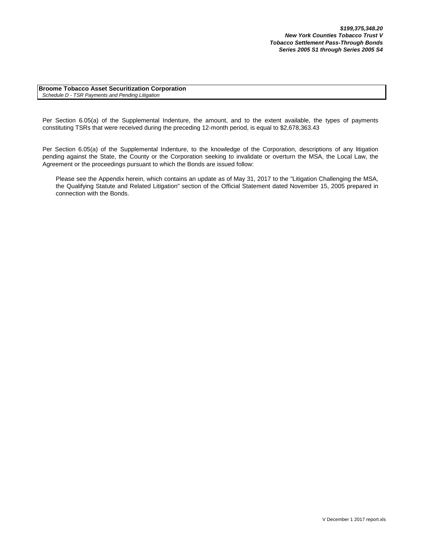**Broome Tobacco Asset Securitization Corporation** *Schedule D - TSR Payments and Pending Litigation*

Per Section 6.05(a) of the Supplemental Indenture, the amount, and to the extent available, the types of payments constituting TSRs that were received during the preceding 12-month period, is equal to \$2,678,363.43

Per Section 6.05(a) of the Supplemental Indenture, to the knowledge of the Corporation, descriptions of any litigation pending against the State, the County or the Corporation seeking to invalidate or overturn the MSA, the Local Law, the Agreement or the proceedings pursuant to which the Bonds are issued follow:

Please see the Appendix herein, which contains an update as of May 31, 2017 to the "Litigation Challenging the MSA, the Qualifying Statute and Related Litigation" section of the Official Statement dated November 15, 2005 prepared in connection with the Bonds.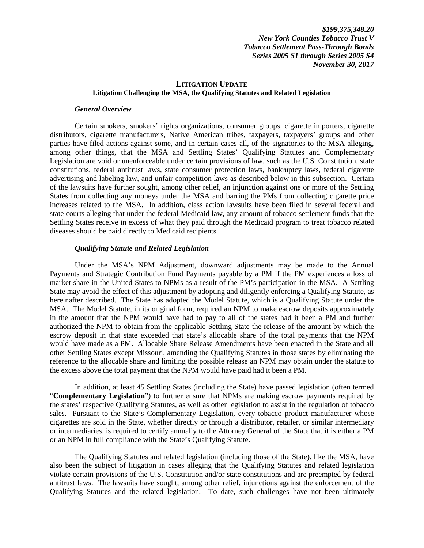#### **LITIGATION UPDATE Litigation Challenging the MSA, the Qualifying Statutes and Related Legislation**

#### *General Overview*

Certain smokers, smokers' rights organizations, consumer groups, cigarette importers, cigarette distributors, cigarette manufacturers, Native American tribes, taxpayers, taxpayers' groups and other parties have filed actions against some, and in certain cases all, of the signatories to the MSA alleging, among other things, that the MSA and Settling States' Qualifying Statutes and Complementary Legislation are void or unenforceable under certain provisions of law, such as the U.S. Constitution, state constitutions, federal antitrust laws, state consumer protection laws, bankruptcy laws, federal cigarette advertising and labeling law, and unfair competition laws as described below in this subsection. Certain of the lawsuits have further sought, among other relief, an injunction against one or more of the Settling States from collecting any moneys under the MSA and barring the PMs from collecting cigarette price increases related to the MSA. In addition, class action lawsuits have been filed in several federal and state courts alleging that under the federal Medicaid law, any amount of tobacco settlement funds that the Settling States receive in excess of what they paid through the Medicaid program to treat tobacco related diseases should be paid directly to Medicaid recipients.

### *Qualifying Statute and Related Legislation*

Under the MSA's NPM Adjustment, downward adjustments may be made to the Annual Payments and Strategic Contribution Fund Payments payable by a PM if the PM experiences a loss of market share in the United States to NPMs as a result of the PM's participation in the MSA. A Settling State may avoid the effect of this adjustment by adopting and diligently enforcing a Qualifying Statute, as hereinafter described. The State has adopted the Model Statute, which is a Qualifying Statute under the MSA. The Model Statute, in its original form, required an NPM to make escrow deposits approximately in the amount that the NPM would have had to pay to all of the states had it been a PM and further authorized the NPM to obtain from the applicable Settling State the release of the amount by which the escrow deposit in that state exceeded that state's allocable share of the total payments that the NPM would have made as a PM. Allocable Share Release Amendments have been enacted in the State and all other Settling States except Missouri, amending the Qualifying Statutes in those states by eliminating the reference to the allocable share and limiting the possible release an NPM may obtain under the statute to the excess above the total payment that the NPM would have paid had it been a PM.

In addition, at least 45 Settling States (including the State) have passed legislation (often termed "**Complementary Legislation**") to further ensure that NPMs are making escrow payments required by the states' respective Qualifying Statutes, as well as other legislation to assist in the regulation of tobacco sales. Pursuant to the State's Complementary Legislation, every tobacco product manufacturer whose cigarettes are sold in the State, whether directly or through a distributor, retailer, or similar intermediary or intermediaries, is required to certify annually to the Attorney General of the State that it is either a PM or an NPM in full compliance with the State's Qualifying Statute.

The Qualifying Statutes and related legislation (including those of the State), like the MSA, have also been the subject of litigation in cases alleging that the Qualifying Statutes and related legislation violate certain provisions of the U.S. Constitution and/or state constitutions and are preempted by federal antitrust laws. The lawsuits have sought, among other relief, injunctions against the enforcement of the Qualifying Statutes and the related legislation. To date, such challenges have not been ultimately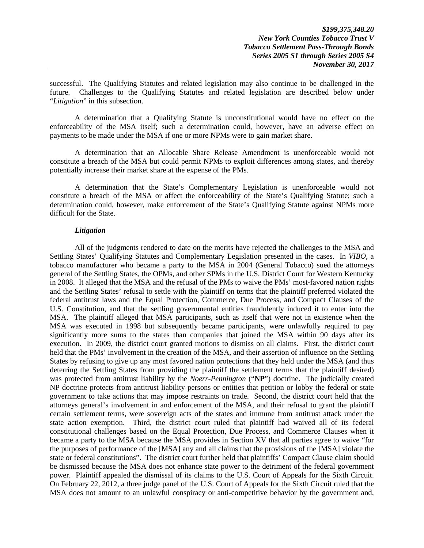successful. The Qualifying Statutes and related legislation may also continue to be challenged in the future. Challenges to the Qualifying Statutes and related legislation are described below under "*Litigation*" in this subsection.

A determination that a Qualifying Statute is unconstitutional would have no effect on the enforceability of the MSA itself; such a determination could, however, have an adverse effect on payments to be made under the MSA if one or more NPMs were to gain market share.

A determination that an Allocable Share Release Amendment is unenforceable would not constitute a breach of the MSA but could permit NPMs to exploit differences among states, and thereby potentially increase their market share at the expense of the PMs.

A determination that the State's Complementary Legislation is unenforceable would not constitute a breach of the MSA or affect the enforceability of the State's Qualifying Statute; such a determination could, however, make enforcement of the State's Qualifying Statute against NPMs more difficult for the State.

#### *Litigation*

All of the judgments rendered to date on the merits have rejected the challenges to the MSA and Settling States' Qualifying Statutes and Complementary Legislation presented in the cases. In *VIBO*, a tobacco manufacturer who became a party to the MSA in 2004 (General Tobacco) sued the attorneys general of the Settling States, the OPMs, and other SPMs in the U.S. District Court for Western Kentucky in 2008. It alleged that the MSA and the refusal of the PMs to waive the PMs' most-favored nation rights and the Settling States' refusal to settle with the plaintiff on terms that the plaintiff preferred violated the federal antitrust laws and the Equal Protection, Commerce, Due Process, and Compact Clauses of the U.S. Constitution, and that the settling governmental entities fraudulently induced it to enter into the MSA. The plaintiff alleged that MSA participants, such as itself that were not in existence when the MSA was executed in 1998 but subsequently became participants, were unlawfully required to pay significantly more sums to the states than companies that joined the MSA within 90 days after its execution. In 2009, the district court granted motions to dismiss on all claims. First, the district court held that the PMs' involvement in the creation of the MSA, and their assertion of influence on the Settling States by refusing to give up any most favored nation protections that they held under the MSA (and thus deterring the Settling States from providing the plaintiff the settlement terms that the plaintiff desired) was protected from antitrust liability by the *Noerr-Pennington* ("**NP**") doctrine. The judicially created NP doctrine protects from antitrust liability persons or entities that petition or lobby the federal or state government to take actions that may impose restraints on trade. Second, the district court held that the attorneys general's involvement in and enforcement of the MSA, and their refusal to grant the plaintiff certain settlement terms, were sovereign acts of the states and immune from antitrust attack under the state action exemption. Third, the district court ruled that plaintiff had waived all of its federal constitutional challenges based on the Equal Protection, Due Process, and Commerce Clauses when it became a party to the MSA because the MSA provides in Section XV that all parties agree to waive "for the purposes of performance of the [MSA] any and all claims that the provisions of the [MSA] violate the state or federal constitutions". The district court further held that plaintiffs' Compact Clause claim should be dismissed because the MSA does not enhance state power to the detriment of the federal government power. Plaintiff appealed the dismissal of its claims to the U.S. Court of Appeals for the Sixth Circuit. On February 22, 2012, a three judge panel of the U.S. Court of Appeals for the Sixth Circuit ruled that the MSA does not amount to an unlawful conspiracy or anti-competitive behavior by the government and,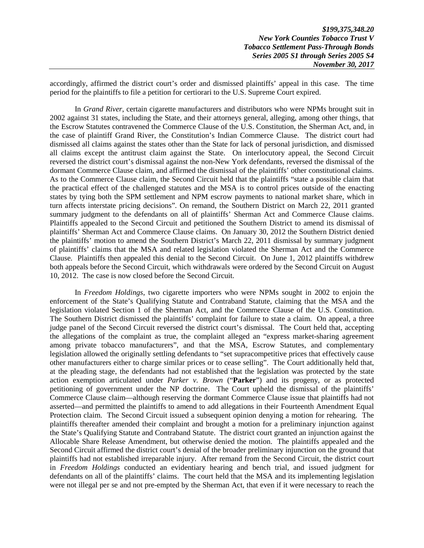accordingly, affirmed the district court's order and dismissed plaintiffs' appeal in this case. The time period for the plaintiffs to file a petition for certiorari to the U.S. Supreme Court expired.

In *Grand River*, certain cigarette manufacturers and distributors who were NPMs brought suit in 2002 against 31 states, including the State, and their attorneys general, alleging, among other things, that the Escrow Statutes contravened the Commerce Clause of the U.S. Constitution, the Sherman Act, and, in the case of plaintiff Grand River, the Constitution's Indian Commerce Clause. The district court had dismissed all claims against the states other than the State for lack of personal jurisdiction, and dismissed all claims except the antitrust claim against the State. On interlocutory appeal, the Second Circuit reversed the district court's dismissal against the non-New York defendants, reversed the dismissal of the dormant Commerce Clause claim, and affirmed the dismissal of the plaintiffs' other constitutional claims. As to the Commerce Clause claim, the Second Circuit held that the plaintiffs "state a possible claim that the practical effect of the challenged statutes and the MSA is to control prices outside of the enacting states by tying both the SPM settlement and NPM escrow payments to national market share, which in turn affects interstate pricing decisions". On remand, the Southern District on March 22, 2011 granted summary judgment to the defendants on all of plaintiffs' Sherman Act and Commerce Clause claims. Plaintiffs appealed to the Second Circuit and petitioned the Southern District to amend its dismissal of plaintiffs' Sherman Act and Commerce Clause claims. On January 30, 2012 the Southern District denied the plaintiffs' motion to amend the Southern District's March 22, 2011 dismissal by summary judgment of plaintiffs' claims that the MSA and related legislation violated the Sherman Act and the Commerce Clause. Plaintiffs then appealed this denial to the Second Circuit. On June 1, 2012 plaintiffs withdrew both appeals before the Second Circuit, which withdrawals were ordered by the Second Circuit on August 10, 2012. The case is now closed before the Second Circuit.

In *Freedom Holdings*, two cigarette importers who were NPMs sought in 2002 to enjoin the enforcement of the State's Qualifying Statute and Contraband Statute, claiming that the MSA and the legislation violated Section 1 of the Sherman Act, and the Commerce Clause of the U.S. Constitution. The Southern District dismissed the plaintiffs' complaint for failure to state a claim. On appeal, a three judge panel of the Second Circuit reversed the district court's dismissal. The Court held that, accepting the allegations of the complaint as true, the complaint alleged an "express market-sharing agreement among private tobacco manufacturers", and that the MSA, Escrow Statutes, and complementary legislation allowed the originally settling defendants to "set supracompetitive prices that effectively cause other manufacturers either to charge similar prices or to cease selling". The Court additionally held that, at the pleading stage, the defendants had not established that the legislation was protected by the state action exemption articulated under *Parker v. Brown* ("**Parker**") and its progeny, or as protected petitioning of government under the NP doctrine. The Court upheld the dismissal of the plaintiffs' Commerce Clause claim—although reserving the dormant Commerce Clause issue that plaintiffs had not asserted—and permitted the plaintiffs to amend to add allegations in their Fourteenth Amendment Equal Protection claim. The Second Circuit issued a subsequent opinion denying a motion for rehearing. The plaintiffs thereafter amended their complaint and brought a motion for a preliminary injunction against the State's Qualifying Statute and Contraband Statute. The district court granted an injunction against the Allocable Share Release Amendment, but otherwise denied the motion. The plaintiffs appealed and the Second Circuit affirmed the district court's denial of the broader preliminary injunction on the ground that plaintiffs had not established irreparable injury. After remand from the Second Circuit, the district court in *Freedom Holdings* conducted an evidentiary hearing and bench trial, and issued judgment for defendants on all of the plaintiffs' claims. The court held that the MSA and its implementing legislation were not illegal per se and not pre-empted by the Sherman Act, that even if it were necessary to reach the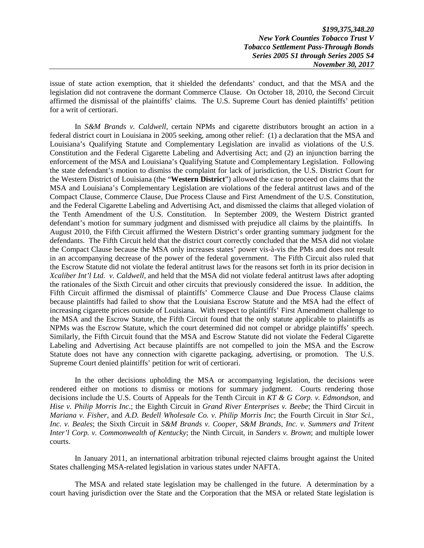*\$199,375,348.20 New York Counties Tobacco Trust V Tobacco Settlement Pass-Through Bonds Series 2005 S1 through Series 2005 S4 November 30, 2017* 

issue of state action exemption, that it shielded the defendants' conduct, and that the MSA and the legislation did not contravene the dormant Commerce Clause. On October 18, 2010, the Second Circuit affirmed the dismissal of the plaintiffs' claims. The U.S. Supreme Court has denied plaintiffs' petition for a writ of certiorari.

In *S&M Brands v. Caldwell*, certain NPMs and cigarette distributors brought an action in a federal district court in Louisiana in 2005 seeking, among other relief: (1) a declaration that the MSA and Louisiana's Qualifying Statute and Complementary Legislation are invalid as violations of the U.S. Constitution and the Federal Cigarette Labeling and Advertising Act; and (2) an injunction barring the enforcement of the MSA and Louisiana's Qualifying Statute and Complementary Legislation. Following the state defendant's motion to dismiss the complaint for lack of jurisdiction, the U.S. District Court for the Western District of Louisiana (the "**Western District**") allowed the case to proceed on claims that the MSA and Louisiana's Complementary Legislation are violations of the federal antitrust laws and of the Compact Clause, Commerce Clause, Due Process Clause and First Amendment of the U.S. Constitution, and the Federal Cigarette Labeling and Advertising Act, and dismissed the claims that alleged violation of the Tenth Amendment of the U.S. Constitution. In September 2009, the Western District granted defendant's motion for summary judgment and dismissed with prejudice all claims by the plaintiffs. In August 2010, the Fifth Circuit affirmed the Western District's order granting summary judgment for the defendants. The Fifth Circuit held that the district court correctly concluded that the MSA did not violate the Compact Clause because the MSA only increases states' power vis-à-vis the PMs and does not result in an accompanying decrease of the power of the federal government. The Fifth Circuit also ruled that the Escrow Statute did not violate the federal antitrust laws for the reasons set forth in its prior decision in *Xcaliber Int'l Ltd. v. Caldwell*, and held that the MSA did not violate federal antitrust laws after adopting the rationales of the Sixth Circuit and other circuits that previously considered the issue. In addition, the Fifth Circuit affirmed the dismissal of plaintiffs' Commerce Clause and Due Process Clause claims because plaintiffs had failed to show that the Louisiana Escrow Statute and the MSA had the effect of increasing cigarette prices outside of Louisiana. With respect to plaintiffs' First Amendment challenge to the MSA and the Escrow Statute, the Fifth Circuit found that the only statute applicable to plaintiffs as NPMs was the Escrow Statute, which the court determined did not compel or abridge plaintiffs' speech. Similarly, the Fifth Circuit found that the MSA and Escrow Statute did not violate the Federal Cigarette Labeling and Advertising Act because plaintiffs are not compelled to join the MSA and the Escrow Statute does not have any connection with cigarette packaging, advertising, or promotion. The U.S. Supreme Court denied plaintiffs' petition for writ of certiorari.

In the other decisions upholding the MSA or accompanying legislation, the decisions were rendered either on motions to dismiss or motions for summary judgment. Courts rendering those decisions include the U.S. Courts of Appeals for the Tenth Circuit in *KT & G Corp. v. Edmondson*, and *Hise v. Philip Morris Inc*.; the Eighth Circuit in *Grand River Enterprises v. Beebe*; the Third Circuit in *Mariana v. Fisher*, and *A.D. Bedell Wholesale Co. v. Philip Morris Inc*; the Fourth Circuit in *Star Sci., Inc. v. Beales*; the Sixth Circuit in *S&M Brands v. Cooper*, *S&M Brands, Inc. v. Summers and Tritent Inter'l Corp. v. Commonwealth of Kentucky*; the Ninth Circuit, in *Sanders v. Brown*; and multiple lower courts.

In January 2011, an international arbitration tribunal rejected claims brought against the United States challenging MSA-related legislation in various states under NAFTA.

The MSA and related state legislation may be challenged in the future. A determination by a court having jurisdiction over the State and the Corporation that the MSA or related State legislation is